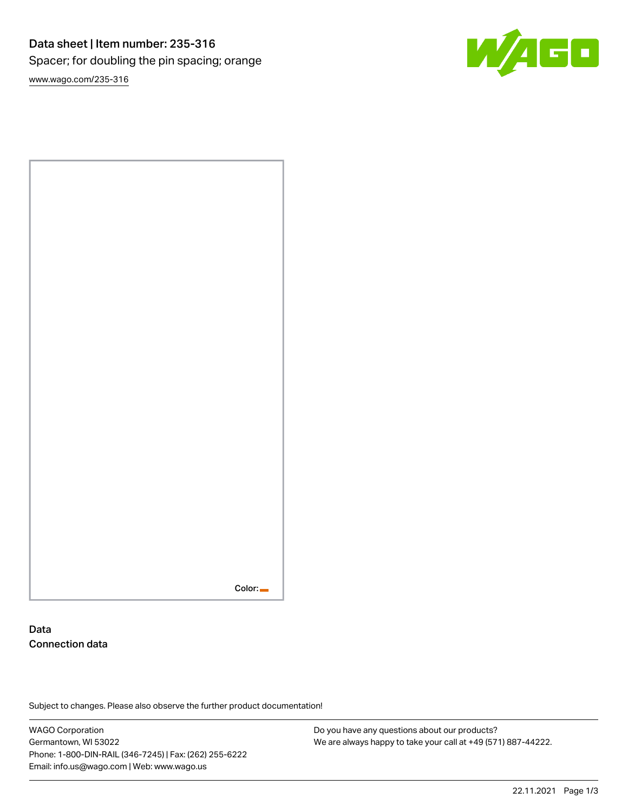# Data sheet | Item number: 235-316 Spacer; for doubling the pin spacing; orange

W/160

[www.wago.com/235-316](http://www.wago.com/235-316)



### Data Connection data

Subject to changes. Please also observe the further product documentation!

WAGO Corporation Germantown, WI 53022 Phone: 1-800-DIN-RAIL (346-7245) | Fax: (262) 255-6222 Email: info.us@wago.com | Web: www.wago.us

Do you have any questions about our products? We are always happy to take your call at +49 (571) 887-44222.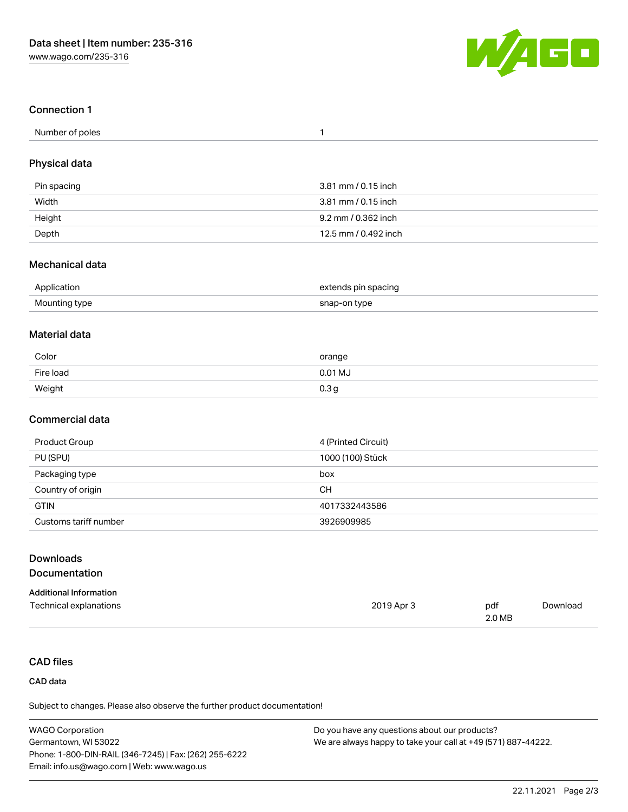

#### Connection 1

| Number of poles |  |
|-----------------|--|
|-----------------|--|

#### Physical data

| Pin spacing | 3.81 mm / 0.15 inch  |
|-------------|----------------------|
| Width       | 3.81 mm / 0.15 inch  |
| Height      | 9.2 mm / 0.362 inch  |
| Depth       | 12.5 mm / 0.492 inch |

#### Mechanical data

| Application   | extends pin spacing<br>. . |
|---------------|----------------------------|
| Mounting type | snap-on type               |

#### Material data

| Color     | orange           |
|-----------|------------------|
| Fire load | 0.01 MJ          |
| Weight    | 0.3 <sub>g</sub> |

#### Commercial data

| Product Group         | 4 (Printed Circuit) |
|-----------------------|---------------------|
| PU (SPU)              | 1000 (100) Stück    |
| Packaging type        | box                 |
| Country of origin     | <b>CH</b>           |
| <b>GTIN</b>           | 4017332443586       |
| Customs tariff number | 3926909985          |

2019 Apr 3 pdf

2.0 MB

## Downloads

#### Documentation

| <b>Additional Information</b> |  |
|-------------------------------|--|
| Technical explanations        |  |

#### CAD files

#### CAD data

Subject to changes. Please also observe the further product documentation!

| <b>WAGO Corporation</b>                                | Do you have any questions about our products?                 |
|--------------------------------------------------------|---------------------------------------------------------------|
| Germantown, WI 53022                                   | We are always happy to take your call at +49 (571) 887-44222. |
| Phone: 1-800-DIN-RAIL (346-7245)   Fax: (262) 255-6222 |                                                               |
| Email: info.us@wago.com   Web: www.wago.us             |                                                               |

[Download](https://www.wago.com/global/d/1435602)